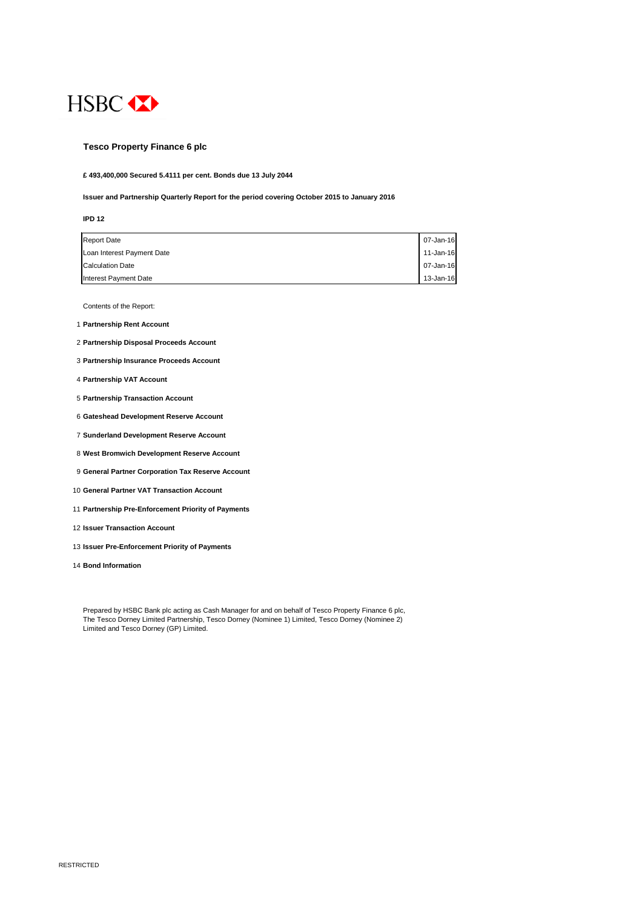

## **Tesco Property Finance 6 plc**

**£ 493,400,000 Secured 5.4111 per cent. Bonds due 13 July 2044**

**Issuer and Partnership Quarterly Report for the period covering October 2015 to January 2016**

#### **IPD 12**

| <b>Report Date</b>         | 07-Jan-16     |
|----------------------------|---------------|
| Loan Interest Payment Date | $11$ -Jan-16  |
| <b>Calculation Date</b>    | 07-Jan-16     |
| Interest Payment Date      | $13 - Jan-16$ |

Contents of the Report:

- 1 **Partnership Rent Account**
- 2 **Partnership Disposal Proceeds Account**
- 3 **Partnership Insurance Proceeds Account**
- 4 **Partnership VAT Account**
- 5 **Partnership Transaction Account**
- 6 **Gateshead Development Reserve Account**
- 7 **Sunderland Development Reserve Account**
- 8 **West Bromwich Development Reserve Account**
- 9 **General Partner Corporation Tax Reserve Account**
- 10 **General Partner VAT Transaction Account**
- 11 **Partnership Pre-Enforcement Priority of Payments**
- 12 **Issuer Transaction Account**
- 13 **Issuer Pre-Enforcement Priority of Payments**
- 14 **Bond Information**

Prepared by HSBC Bank plc acting as Cash Manager for and on behalf of Tesco Property Finance 6 plc, The Tesco Dorney Limited Partnership, Tesco Dorney (Nominee 1) Limited, Tesco Dorney (Nominee 2) Limited and Tesco Dorney (GP) Limited.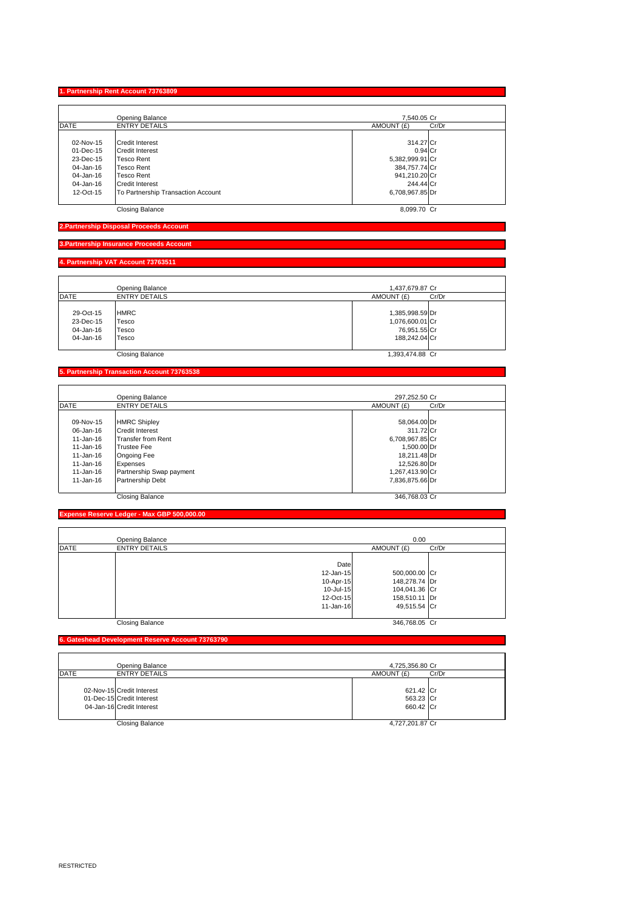RESTRICTED

## **1. Partnership Rent Account 73763809**

|             | <b>Opening Balance</b>             | 7,540.05 Cr         |  |
|-------------|------------------------------------|---------------------|--|
| <b>DATE</b> | <b>ENTRY DETAILS</b>               | AMOUNT (£)<br>Cr/Dr |  |
|             |                                    |                     |  |
| 02-Nov-15   | <b>Credit Interest</b>             | 314.27 Cr           |  |
| 01-Dec-15   | <b>Credit Interest</b>             | $0.94$ Cr           |  |
| 23-Dec-15   | <b>Tesco Rent</b>                  | 5,382,999.91 Cr     |  |
| 04-Jan-16   | <b>Tesco Rent</b>                  | 384,757.74 Cr       |  |
| 04-Jan-16   | <b>Tesco Rent</b>                  | 941,210.20 Cr       |  |
| 04-Jan-16   | <b>ICredit Interest</b>            | 244.44 Cr           |  |
| 12-Oct-15   | To Partnership Transaction Account | 6,708,967.85 Dr     |  |
|             |                                    |                     |  |
|             | <b>Closing Balance</b>             | 8,099.70 Cr         |  |

**2.Partnership Disposal Proceeds Account**

## **3.Partnership Insurance Proceeds Account**

#### **4. Partnership VAT Account 73763511**

|             | <b>Opening Balance</b> | 1,437,679.87 Cr     |  |
|-------------|------------------------|---------------------|--|
| <b>DATE</b> | <b>ENTRY DETAILS</b>   | AMOUNT (£)<br>Cr/Dr |  |
|             |                        |                     |  |
| 29-Oct-15   | <b>HMRC</b>            | 1,385,998.59 Dr     |  |
| 23-Dec-15   | <b>Tesco</b>           | 1,076,600.01 Cr     |  |
| 04-Jan-16   | <b>Tesco</b>           | 76,951.55 Cr        |  |
| 04-Jan-16   | <b>Tesco</b>           | 188,242.04 Cr       |  |
|             |                        |                     |  |
|             | <b>Closing Balance</b> | 1,393,474.88 Cr     |  |

## **5. Partnership Transaction Account 73763538**

|               | <b>Opening Balance</b>    | 297,252.50 Cr       |
|---------------|---------------------------|---------------------|
| <b>DATE</b>   | <b>ENTRY DETAILS</b>      | AMOUNT (£)<br>Cr/Dr |
|               |                           |                     |
| 09-Nov-15     | <b>HMRC Shipley</b>       | 58,064.00 Dr        |
| 06-Jan-16     | <b>Credit Interest</b>    | 311.72 Cr           |
| $11 - Jan-16$ | <b>Transfer from Rent</b> | 6,708,967.85 Cr     |
| $11 - Jan-16$ | Trustee Fee               | 1,500.00 Dr         |
| $11 - Jan-16$ | <b>Ongoing Fee</b>        | 18,211.48 Dr        |
| $11 - Jan-16$ | Expenses                  | 12,526.80 Dr        |
| $11 - Jan-16$ | Partnership Swap payment  | 1,267,413.90 Cr     |
| $11 - Jan-16$ | <b>Partnership Debt</b>   | 7,836,875.66 Dr     |
|               | <b>Closing Balance</b>    | 346,768.03 Cr       |

**Expense Reserve Ledger - Max GBP 500,000.00**

|             | <b>Opening Balance</b> |              | 0.00          |       |
|-------------|------------------------|--------------|---------------|-------|
| <b>DATE</b> | <b>ENTRY DETAILS</b>   |              | AMOUNT (£)    | Cr/Dr |
|             |                        |              |               |       |
|             |                        | Date         |               |       |
|             |                        | $12$ -Jan-15 | 500,000.00 Cr |       |
|             |                        | $10$ -Apr-15 | 148,278.74 Dr |       |
|             |                        | $10$ -Jul-15 | 104,041.36 Cr |       |
|             |                        | 12-Oct-15    | 158,510.11 Dr |       |
|             |                        | $11$ -Jan-16 | 49,515.54 Cr  |       |
|             |                        |              |               |       |
|             | <b>Closing Balance</b> |              | 346,768.05 Cr |       |

**6. Gateshead Development Reserve Account 73763790**

|             | Opening Balance                                                                     | 4,725,356.80 Cr                     |       |
|-------------|-------------------------------------------------------------------------------------|-------------------------------------|-------|
| <b>DATE</b> | <b>ENTRY DETAILS</b>                                                                | AMOUNT (£)                          | Cr/Dr |
|             | 02-Nov-15 Credit Interest<br>01-Dec-15 Credit Interest<br>04-Jan-16 Credit Interest | 621.42 Cr<br>563.23 Cr<br>660.42 Cr |       |
|             | <b>Closing Balance</b>                                                              | 4,727,201.87 Cr                     |       |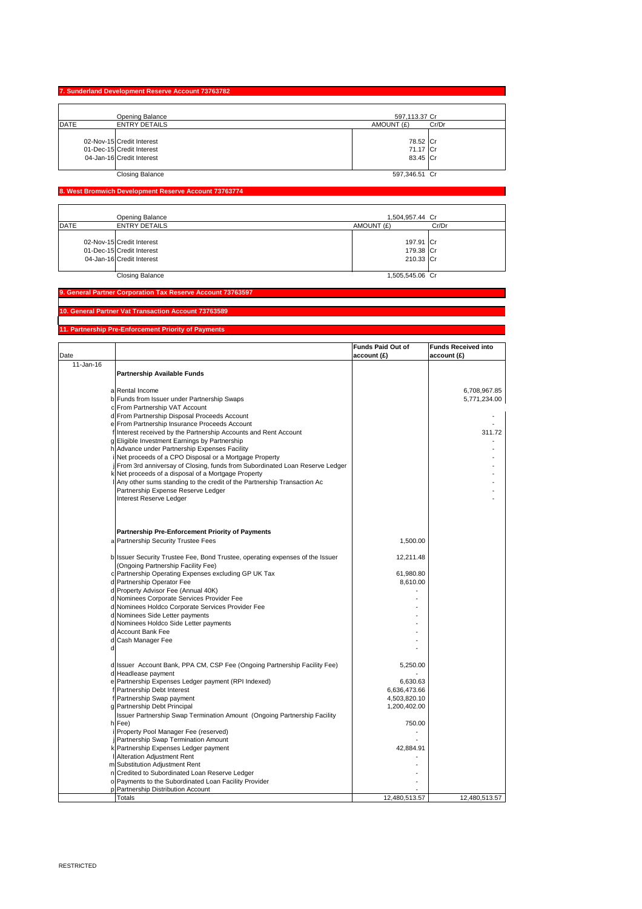# **7. Sunderland Development Reserve Account 73763782**

|      | <b>Opening Balance</b>                                                              | 597,113.37 Cr                    |       |
|------|-------------------------------------------------------------------------------------|----------------------------------|-------|
| DATE | <b>ENTRY DETAILS</b>                                                                | AMOUNT (£)                       | Cr/Dr |
|      | 02-Nov-15 Credit Interest<br>01-Dec-15 Credit Interest<br>04-Jan-16 Credit Interest | 78.52 Cr<br>71.17 Cr<br>83.45 Cr |       |
|      | <b>Closing Balance</b>                                                              | 597,346.51 Cr                    |       |

# **8. West Bromwich Development Reserve Account 73763774**

|      | <b>Opening Balance</b>                                                              | 1,504,957.44 Cr                     |       |
|------|-------------------------------------------------------------------------------------|-------------------------------------|-------|
| DATE | <b>ENTRY DETAILS</b>                                                                | AMOUNT (£)                          | Cr/Dr |
|      | 02-Nov-15 Credit Interest<br>01-Dec-15 Credit Interest<br>04-Jan-16 Credit Interest | 197.91 Cr<br>179.38 Cr<br>210.33 Cr |       |
|      | <b>Closing Balance</b>                                                              | 1,505,545.06 Cr                     |       |

#### **9. General Partner Corporation Tax Reserve Account 73763597**

**10. General Partner Vat Transaction Account 73763589**

# **11. Partnership Pre-Enforcement Priority of Payments**

|           |                                                                               | Funds Paid Out of | <b>Funds Received into</b> |
|-----------|-------------------------------------------------------------------------------|-------------------|----------------------------|
| Date      |                                                                               | account(E)        | account(E)                 |
| 11-Jan-16 |                                                                               |                   |                            |
|           | <b>Partnership Available Funds</b>                                            |                   |                            |
|           |                                                                               |                   |                            |
|           | a Rental Income                                                               |                   | 6,708,967.85               |
|           | b Funds from Issuer under Partnership Swaps                                   |                   | 5,771,234.00               |
|           | c From Partnership VAT Account                                                |                   |                            |
|           | d From Partnership Disposal Proceeds Account                                  |                   |                            |
|           | e From Partnership Insurance Proceeds Account                                 |                   |                            |
|           | f Interest received by the Partnership Accounts and Rent Account              |                   | 311.72                     |
|           | g Eligible Investment Earnings by Partnership                                 |                   |                            |
|           | h Advance under Partnership Expenses Facility                                 |                   |                            |
|           | i Net proceeds of a CPO Disposal or a Mortgage Property                       |                   |                            |
|           | j From 3rd anniversay of Closing, funds from Subordinated Loan Reserve Ledger |                   |                            |
|           | k Net proceeds of a disposal of a Mortgage Property                           |                   |                            |
|           | Any other sums standing to the credit of the Partnership Transaction Ac       |                   |                            |
|           | Partnership Expense Reserve Ledger                                            |                   |                            |
|           | Interest Reserve Ledger                                                       |                   |                            |
|           |                                                                               |                   |                            |
|           |                                                                               |                   |                            |
|           |                                                                               |                   |                            |
|           | <b>Partnership Pre-Enforcement Priority of Payments</b>                       |                   |                            |
|           | a Partnership Security Trustee Fees                                           | 1,500.00          |                            |
|           |                                                                               |                   |                            |
|           | b Issuer Security Trustee Fee, Bond Trustee, operating expenses of the Issuer | 12,211.48         |                            |
|           | (Ongoing Partnership Facility Fee)                                            |                   |                            |
|           | c Partnership Operating Expenses excluding GP UK Tax                          | 61,980.80         |                            |
|           | d Partnership Operator Fee                                                    | 8,610.00          |                            |
|           | d Property Advisor Fee (Annual 40K)                                           |                   |                            |
|           | d Nominees Corporate Services Provider Fee                                    |                   |                            |
|           | d Nominees Holdco Corporate Services Provider Fee                             |                   |                            |
|           | d Nominees Side Letter payments                                               |                   |                            |
|           | d Nominees Holdco Side Letter payments                                        |                   |                            |
|           | d Account Bank Fee                                                            |                   |                            |
|           | d Cash Manager Fee                                                            |                   |                            |
|           |                                                                               |                   |                            |
|           | d Issuer Account Bank, PPA CM, CSP Fee (Ongoing Partnership Facility Fee)     | 5,250.00          |                            |
|           | d Headlease payment                                                           |                   |                            |
|           | e Partnership Expenses Ledger payment (RPI Indexed)                           | 6,630.63          |                            |
|           | f Partnership Debt Interest                                                   | 6,636,473.66      |                            |
|           | f Partnership Swap payment                                                    | 4,503,820.10      |                            |
|           | g Partnership Debt Principal                                                  | 1,200,402.00      |                            |
|           | Issuer Partnership Swap Termination Amount (Ongoing Partnership Facility      |                   |                            |
|           | $h$ Fee)                                                                      | 750.00            |                            |
|           | Property Pool Manager Fee (reserved)                                          |                   |                            |
|           | Partnership Swap Termination Amount                                           |                   |                            |
|           | k Partnership Expenses Ledger payment                                         | 42,884.91         |                            |
|           | Alteration Adjustment Rent                                                    |                   |                            |
|           | m Substitution Adjustment Rent                                                |                   |                            |
|           | n Credited to Subordinated Loan Reserve Ledger                                |                   |                            |
|           | o Payments to the Subordinated Loan Facility Provider                         |                   |                            |
|           | p Partnership Distribution Account                                            |                   |                            |
|           | <b>Totals</b>                                                                 | 12,480,513.57     | 12,480,513.57              |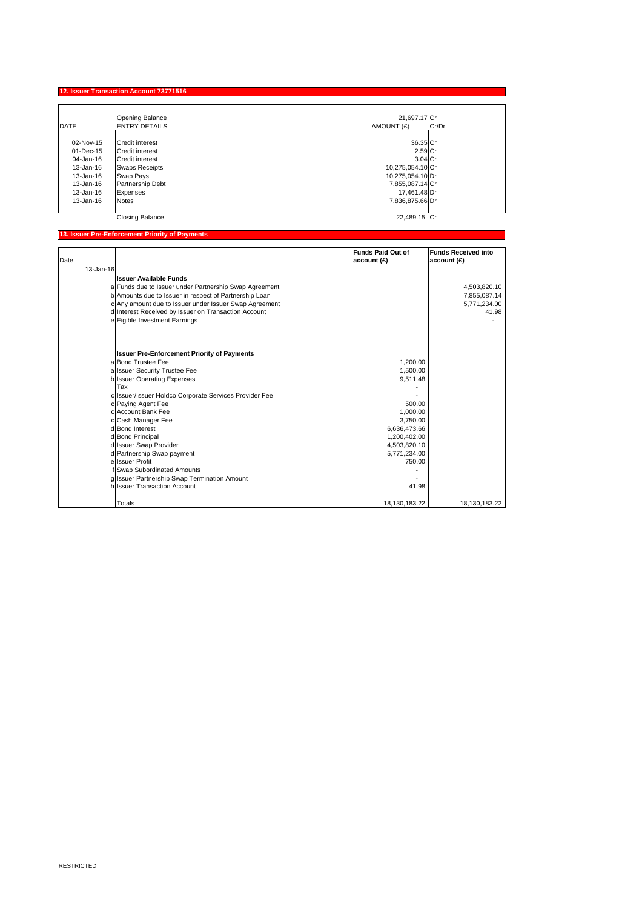RESTRICTED

# **12. Issuer Transaction Account 73771516**

|               | <b>Opening Balance</b>  | 21,697.17 Cr        |
|---------------|-------------------------|---------------------|
| DATE          | <b>ENTRY DETAILS</b>    | AMOUNT (£)<br>Cr/Dr |
|               |                         |                     |
| 02-Nov-15     | <b>ICredit interest</b> | $36.35$ Cr          |
| 01-Dec-15     | <b>Credit interest</b>  | $2.59$ Cr           |
| 04-Jan-16     | <b>Credit interest</b>  | $3.04$ Cr           |
| $13 - Jan-16$ | <b>Swaps Receipts</b>   | 10,275,054.10 Cr    |
| $13 - Jan-16$ | <b>Swap Pays</b>        | 10,275,054.10 Dr    |
| 13-Jan-16     | <b>Partnership Debt</b> | 7,855,087.14 Cr     |
| $13 - Jan-16$ | <b>Expenses</b>         | 17,461.48 Dr        |
| $13 - Jan-16$ | <b>Notes</b>            | 7,836,875.66 Dr     |
|               |                         |                     |
|               | <b>Closing Balance</b>  | 22,489.15 Cr        |

# **13. Issuer Pre-Enforcement Priority of Payments**

|           |                                                        | <b>Funds Paid Out of</b> | <b>Funds Received into</b> |
|-----------|--------------------------------------------------------|--------------------------|----------------------------|
| Date      |                                                        | account(E)               | account(E)                 |
| 13-Jan-16 |                                                        |                          |                            |
|           | <b>Issuer Available Funds</b>                          |                          |                            |
|           | a Funds due to Issuer under Partnership Swap Agreement |                          | 4,503,820.10               |
|           | b Amounts due to Issuer in respect of Partnership Loan |                          | 7,855,087.14               |
|           | c Any amount due to Issuer under Issuer Swap Agreement |                          | 5,771,234.00               |
|           | d Interest Received by Issuer on Transaction Account   |                          | 41.98                      |
|           | e Eigible Investment Earnings                          |                          |                            |
|           | <b>Issuer Pre-Enforcement Priority of Payments</b>     |                          |                            |
|           | alBond Trustee Fee                                     | 1,200.00                 |                            |
|           | a Issuer Security Trustee Fee                          | 1,500.00                 |                            |
|           | b Issuer Operating Expenses                            | 9,511.48                 |                            |
|           | Tax                                                    |                          |                            |
|           | c Issuer/Issuer Holdco Corporate Services Provider Fee |                          |                            |
|           | c Paying Agent Fee                                     | 500.00                   |                            |
|           | clAccount Bank Fee                                     | 1,000.00                 |                            |
|           | c Cash Manager Fee                                     | 3,750.00                 |                            |
|           | d Bond Interest                                        | 6,636,473.66             |                            |
|           | d Bond Principal                                       | 1,200,402.00             |                            |
|           | d Issuer Swap Provider                                 | 4,503,820.10             |                            |
|           | d Partnership Swap payment                             | 5,771,234.00             |                            |
|           | ellssuer Profit                                        | 750.00                   |                            |
|           | f Swap Subordinated Amounts                            |                          |                            |
|           | g Issuer Partnership Swap Termination Amount           |                          |                            |
|           | h Issuer Transaction Account                           | 41.98                    |                            |
|           |                                                        |                          |                            |
|           | <b>Totals</b>                                          | 18,130,183.22            | 18,130,183.22              |